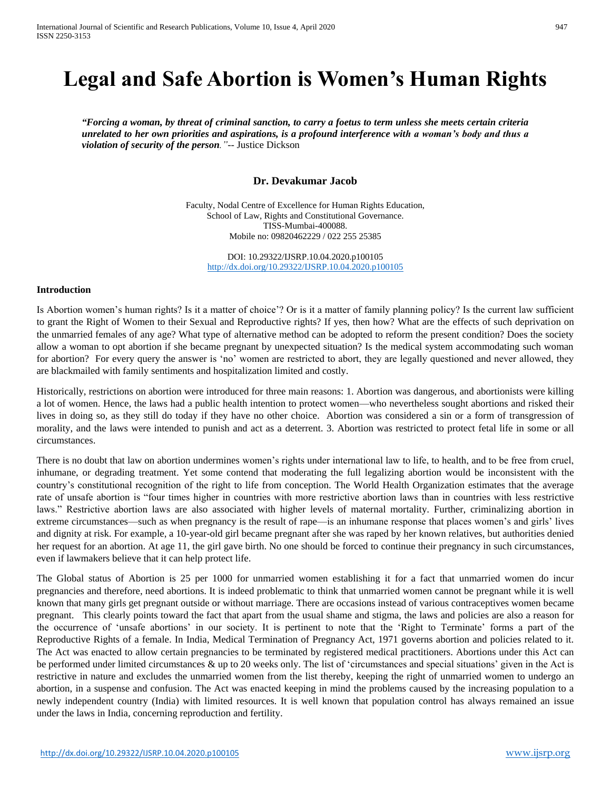# **Legal and Safe Abortion is Women's Human Rights**

 *"Forcing a woman, by threat of criminal sanction, to carry a foetus to term unless she meets certain criteria unrelated to her own priorities and aspirations, is a profound interference with a woman's body and thus a violation of security of the person."--* Justice Dickson

#### **Dr. Devakumar Jacob**

Faculty, Nodal Centre of Excellence for Human Rights Education, School of Law, Rights and Constitutional Governance. TISS-Mumbai-400088. Mobile no: 09820462229 / 022 255 25385

DOI: 10.29322/IJSRP.10.04.2020.p100105 <http://dx.doi.org/10.29322/IJSRP.10.04.2020.p100105>

#### **Introduction**

Is Abortion women's human rights? Is it a matter of choice'? Or is it a matter of family planning policy? Is the current law sufficient to grant the Right of Women to their Sexual and Reproductive rights? If yes, then how? What are the effects of such deprivation on the unmarried females of any age? What type of alternative method can be adopted to reform the present condition? Does the society allow a woman to opt abortion if she became pregnant by unexpected situation? Is the medical system accommodating such woman for abortion? For every query the answer is 'no' women are restricted to abort, they are legally questioned and never allowed, they are blackmailed with family sentiments and hospitalization limited and costly.

Historically, restrictions on abortion were introduced for three main reasons: 1. Abortion was dangerous, and abortionists were killing a lot of women. Hence, the laws had a public health intention to protect women—who nevertheless sought abortions and risked their lives in doing so, as they still do today if they have no other choice. Abortion was considered a sin or a form of transgression of morality, and the laws were intended to punish and act as a deterrent. 3. Abortion was restricted to protect fetal life in some or all circumstances.

There is no doubt that law on abortion undermines women's rights under international law to life, to health, and to be free from cruel, inhumane, or degrading treatment. Yet some contend that moderating the full legalizing abortion would be inconsistent with the country's constitutional recognition of the right to life from conception. The World Health Organization estimates that the average rate of unsafe abortion is "four times higher in countries with more restrictive abortion laws than in countries with less restrictive laws." Restrictive abortion laws are also associated with higher levels of maternal mortality. Further, criminalizing abortion in extreme circumstances—such as when pregnancy is the result of rape—is an inhumane response that places women's and girls' lives and dignity at risk. For example, a 10-year-old girl became pregnant after she was raped by her known relatives, but authorities denied her request for an abortion. At age 11, the girl gave birth. No one should be forced to continue their pregnancy in such circumstances, even if lawmakers believe that it can help protect life.

The Global status of Abortion is 25 per 1000 for unmarried women establishing it for a fact that unmarried women do incur pregnancies and therefore, need abortions. It is indeed problematic to think that unmarried women cannot be pregnant while it is well known that many girls get pregnant outside or without marriage. There are occasions instead of various contraceptives women became pregnant. This clearly points toward the fact that apart from the usual shame and stigma, the laws and policies are also a reason for the occurrence of 'unsafe abortions' in our society. It is pertinent to note that the 'Right to Terminate' forms a part of the Reproductive Rights of a female. In India, Medical Termination of Pregnancy Act, 1971 governs abortion and policies related to it. The Act was enacted to allow certain pregnancies to be terminated by registered medical practitioners. Abortions under this Act can be performed under limited circumstances & up to 20 weeks only. The list of 'circumstances and special situations' given in the Act is restrictive in nature and excludes the unmarried women from the list thereby, keeping the right of unmarried women to undergo an abortion, in a suspense and confusion. The Act was enacted keeping in mind the problems caused by the increasing population to a newly independent country (India) with limited resources. It is well known that population control has always remained an issue under the laws in India, concerning reproduction and fertility.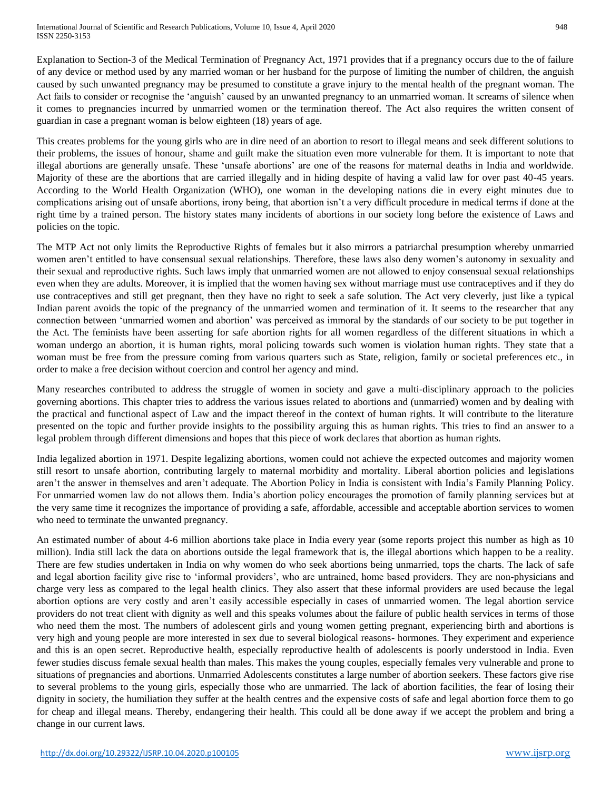Explanation to Section-3 of the Medical Termination of Pregnancy Act, 1971 provides that if a pregnancy occurs due to the of failure of any device or method used by any married woman or her husband for the purpose of limiting the number of children, the anguish caused by such unwanted pregnancy may be presumed to constitute a grave injury to the mental health of the pregnant woman. The Act fails to consider or recognise the 'anguish' caused by an unwanted pregnancy to an unmarried woman. It screams of silence when it comes to pregnancies incurred by unmarried women or the termination thereof. The Act also requires the written consent of guardian in case a pregnant woman is below eighteen (18) years of age.

This creates problems for the young girls who are in dire need of an abortion to resort to illegal means and seek different solutions to their problems, the issues of honour, shame and guilt make the situation even more vulnerable for them. It is important to note that illegal abortions are generally unsafe. These 'unsafe abortions' are one of the reasons for maternal deaths in India and worldwide. Majority of these are the abortions that are carried illegally and in hiding despite of having a valid law for over past 40-45 years. According to the World Health Organization (WHO), one woman in the developing nations die in every eight minutes due to complications arising out of unsafe abortions, irony being, that abortion isn't a very difficult procedure in medical terms if done at the right time by a trained person. The history states many incidents of abortions in our society long before the existence of Laws and policies on the topic.

The MTP Act not only limits the Reproductive Rights of females but it also mirrors a patriarchal presumption whereby unmarried women aren't entitled to have consensual sexual relationships. Therefore, these laws also deny women's autonomy in sexuality and their sexual and reproductive rights. Such laws imply that unmarried women are not allowed to enjoy consensual sexual relationships even when they are adults. Moreover, it is implied that the women having sex without marriage must use contraceptives and if they do use contraceptives and still get pregnant, then they have no right to seek a safe solution. The Act very cleverly, just like a typical Indian parent avoids the topic of the pregnancy of the unmarried women and termination of it. It seems to the researcher that any connection between 'unmarried women and abortion' was perceived as immoral by the standards of our society to be put together in the Act. The feminists have been asserting for safe abortion rights for all women regardless of the different situations in which a woman undergo an abortion, it is human rights, moral policing towards such women is violation human rights. They state that a woman must be free from the pressure coming from various quarters such as State, religion, family or societal preferences etc., in order to make a free decision without coercion and control her agency and mind.

Many researches contributed to address the struggle of women in society and gave a multi-disciplinary approach to the policies governing abortions. This chapter tries to address the various issues related to abortions and (unmarried) women and by dealing with the practical and functional aspect of Law and the impact thereof in the context of human rights. It will contribute to the literature presented on the topic and further provide insights to the possibility arguing this as human rights. This tries to find an answer to a legal problem through different dimensions and hopes that this piece of work declares that abortion as human rights.

India legalized abortion in 1971. Despite legalizing abortions, women could not achieve the expected outcomes and majority women still resort to unsafe abortion, contributing largely to maternal morbidity and mortality. Liberal abortion policies and legislations aren't the answer in themselves and aren't adequate. The Abortion Policy in India is consistent with India's Family Planning Policy. For unmarried women law do not allows them. India's abortion policy encourages the promotion of family planning services but at the very same time it recognizes the importance of providing a safe, affordable, accessible and acceptable abortion services to women who need to terminate the unwanted pregnancy.

An estimated number of about 4-6 million abortions take place in India every year (some reports project this number as high as 10 million). India still lack the data on abortions outside the legal framework that is, the illegal abortions which happen to be a reality. There are few studies undertaken in India on why women do who seek abortions being unmarried, tops the charts. The lack of safe and legal abortion facility give rise to 'informal providers', who are untrained, home based providers. They are non-physicians and charge very less as compared to the legal health clinics. They also assert that these informal providers are used because the legal abortion options are very costly and aren't easily accessible especially in cases of unmarried women. The legal abortion service providers do not treat client with dignity as well and this speaks volumes about the failure of public health services in terms of those who need them the most. The numbers of adolescent girls and young women getting pregnant, experiencing birth and abortions is very high and young people are more interested in sex due to several biological reasons- hormones. They experiment and experience and this is an open secret. Reproductive health, especially reproductive health of adolescents is poorly understood in India. Even fewer studies discuss female sexual health than males. This makes the young couples, especially females very vulnerable and prone to situations of pregnancies and abortions. Unmarried Adolescents constitutes a large number of abortion seekers. These factors give rise to several problems to the young girls, especially those who are unmarried. The lack of abortion facilities, the fear of losing their dignity in society, the humiliation they suffer at the health centres and the expensive costs of safe and legal abortion force them to go for cheap and illegal means. Thereby, endangering their health. This could all be done away if we accept the problem and bring a change in our current laws.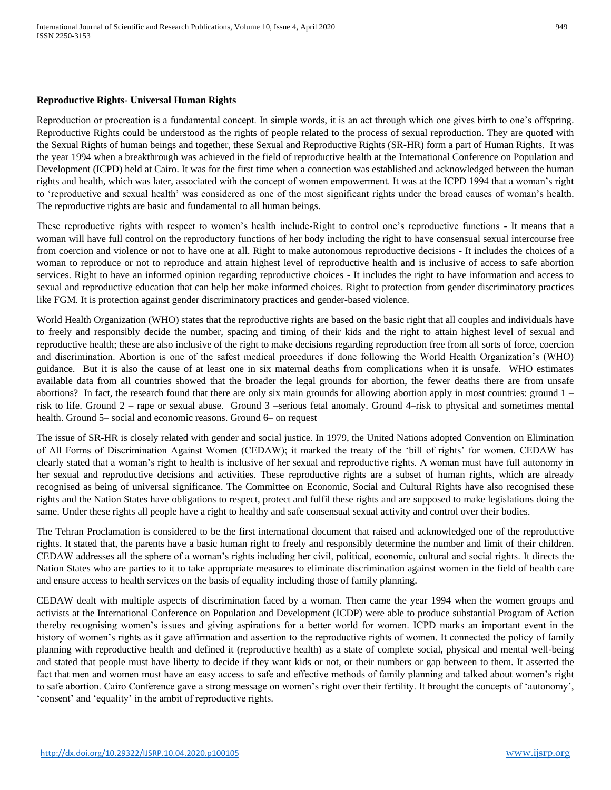#### **Reproductive Rights- Universal Human Rights**

Reproduction or procreation is a fundamental concept. In simple words, it is an act through which one gives birth to one's offspring. Reproductive Rights could be understood as the rights of people related to the process of sexual reproduction. They are quoted with the Sexual Rights of human beings and together, these Sexual and Reproductive Rights (SR-HR) form a part of Human Rights. It was the year 1994 when a breakthrough was achieved in the field of reproductive health at the International Conference on Population and Development (ICPD) held at Cairo. It was for the first time when a connection was established and acknowledged between the human rights and health, which was later, associated with the concept of women empowerment. It was at the ICPD 1994 that a woman's right to 'reproductive and sexual health' was considered as one of the most significant rights under the broad causes of woman's health. The reproductive rights are basic and fundamental to all human beings.

These reproductive rights with respect to women's health include-Right to control one's reproductive functions - It means that a woman will have full control on the reproductory functions of her body including the right to have consensual sexual intercourse free from coercion and violence or not to have one at all. Right to make autonomous reproductive decisions - It includes the choices of a woman to reproduce or not to reproduce and attain highest level of reproductive health and is inclusive of access to safe abortion services. Right to have an informed opinion regarding reproductive choices - It includes the right to have information and access to sexual and reproductive education that can help her make informed choices. Right to protection from gender discriminatory practices like FGM. It is protection against gender discriminatory practices and gender-based violence.

World Health Organization (WHO) states that the reproductive rights are based on the basic right that all couples and individuals have to freely and responsibly decide the number, spacing and timing of their kids and the right to attain highest level of sexual and reproductive health; these are also inclusive of the right to make decisions regarding reproduction free from all sorts of force, coercion and discrimination. Abortion is one of the safest medical procedures if done following the World Health Organization's (WHO) guidance. But it is also the cause of at least one in six maternal deaths from complications when it is unsafe. WHO estimates available data from all countries showed that the broader the legal grounds for abortion, the fewer deaths there are from unsafe abortions? In fact, the research found that there are only six main grounds for allowing abortion apply in most countries: ground 1 – risk to life. Ground 2 – rape or sexual abuse. Ground 3 –serious fetal anomaly. Ground 4–risk to physical and sometimes mental health. Ground 5– social and economic reasons. Ground 6– on request

The issue of SR-HR is closely related with gender and social justice. In 1979, the United Nations adopted Convention on Elimination of All Forms of Discrimination Against Women (CEDAW); it marked the treaty of the 'bill of rights' for women. CEDAW has clearly stated that a woman's right to health is inclusive of her sexual and reproductive rights. A woman must have full autonomy in her sexual and reproductive decisions and activities. These reproductive rights are a subset of human rights, which are already recognised as being of universal significance. The Committee on Economic, Social and Cultural Rights have also recognised these rights and the Nation States have obligations to respect, protect and fulfil these rights and are supposed to make legislations doing the same. Under these rights all people have a right to healthy and safe consensual sexual activity and control over their bodies.

The Tehran Proclamation is considered to be the first international document that raised and acknowledged one of the reproductive rights. It stated that, the parents have a basic human right to freely and responsibly determine the number and limit of their children. CEDAW addresses all the sphere of a woman's rights including her civil, political, economic, cultural and social rights. It directs the Nation States who are parties to it to take appropriate measures to eliminate discrimination against women in the field of health care and ensure access to health services on the basis of equality including those of family planning.

CEDAW dealt with multiple aspects of discrimination faced by a woman. Then came the year 1994 when the women groups and activists at the International Conference on Population and Development (ICDP) were able to produce substantial Program of Action thereby recognising women's issues and giving aspirations for a better world for women. ICPD marks an important event in the history of women's rights as it gave affirmation and assertion to the reproductive rights of women. It connected the policy of family planning with reproductive health and defined it (reproductive health) as a state of complete social, physical and mental well-being and stated that people must have liberty to decide if they want kids or not, or their numbers or gap between to them. It asserted the fact that men and women must have an easy access to safe and effective methods of family planning and talked about women's right to safe abortion. Cairo Conference gave a strong message on women's right over their fertility. It brought the concepts of 'autonomy', 'consent' and 'equality' in the ambit of reproductive rights.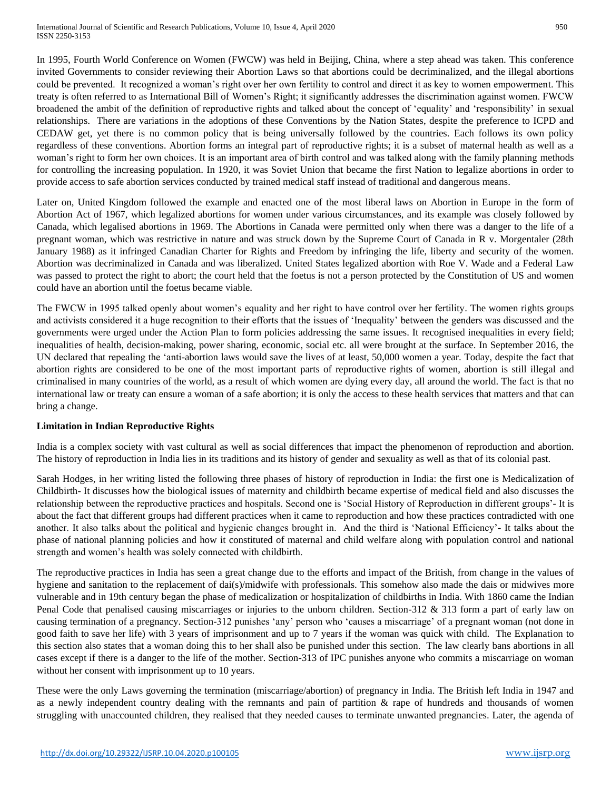In 1995, Fourth World Conference on Women (FWCW) was held in Beijing, China, where a step ahead was taken. This conference invited Governments to consider reviewing their Abortion Laws so that abortions could be decriminalized, and the illegal abortions could be prevented. It recognized a woman's right over her own fertility to control and direct it as key to women empowerment. This treaty is often referred to as International Bill of Women's Right; it significantly addresses the discrimination against women. FWCW broadened the ambit of the definition of reproductive rights and talked about the concept of 'equality' and 'responsibility' in sexual relationships. There are variations in the adoptions of these Conventions by the Nation States, despite the preference to ICPD and CEDAW get, yet there is no common policy that is being universally followed by the countries. Each follows its own policy regardless of these conventions. Abortion forms an integral part of reproductive rights; it is a subset of maternal health as well as a woman's right to form her own choices. It is an important area of birth control and was talked along with the family planning methods for controlling the increasing population. In 1920, it was Soviet Union that became the first Nation to legalize abortions in order to provide access to safe abortion services conducted by trained medical staff instead of traditional and dangerous means.

Later on, United Kingdom followed the example and enacted one of the most liberal laws on Abortion in Europe in the form of Abortion Act of 1967, which legalized abortions for women under various circumstances, and its example was closely followed by Canada, which legalised abortions in 1969. The Abortions in Canada were permitted only when there was a danger to the life of a pregnant woman, which was restrictive in nature and was struck down by the Supreme Court of Canada in R v. Morgentaler (28th January 1988) as it infringed Canadian Charter for Rights and Freedom by infringing the life, liberty and security of the women. Abortion was decriminalized in Canada and was liberalized. United States legalized abortion with Roe V. Wade and a Federal Law was passed to protect the right to abort; the court held that the foetus is not a person protected by the Constitution of US and women could have an abortion until the foetus became viable.

The FWCW in 1995 talked openly about women's equality and her right to have control over her fertility. The women rights groups and activists considered it a huge recognition to their efforts that the issues of 'Inequality' between the genders was discussed and the governments were urged under the Action Plan to form policies addressing the same issues. It recognised inequalities in every field; inequalities of health, decision-making, power sharing, economic, social etc. all were brought at the surface. In September 2016, the UN declared that repealing the 'anti-abortion laws would save the lives of at least, 50,000 women a year. Today, despite the fact that abortion rights are considered to be one of the most important parts of reproductive rights of women, abortion is still illegal and criminalised in many countries of the world, as a result of which women are dying every day, all around the world. The fact is that no international law or treaty can ensure a woman of a safe abortion; it is only the access to these health services that matters and that can bring a change.

## **Limitation in Indian Reproductive Rights**

India is a complex society with vast cultural as well as social differences that impact the phenomenon of reproduction and abortion. The history of reproduction in India lies in its traditions and its history of gender and sexuality as well as that of its colonial past.

Sarah Hodges, in her writing listed the following three phases of history of reproduction in India: the first one is Medicalization of Childbirth- It discusses how the biological issues of maternity and childbirth became expertise of medical field and also discusses the relationship between the reproductive practices and hospitals. Second one is 'Social History of Reproduction in different groups'- It is about the fact that different groups had different practices when it came to reproduction and how these practices contradicted with one another. It also talks about the political and hygienic changes brought in. And the third is 'National Efficiency'- It talks about the phase of national planning policies and how it constituted of maternal and child welfare along with population control and national strength and women's health was solely connected with childbirth.

The reproductive practices in India has seen a great change due to the efforts and impact of the British, from change in the values of hygiene and sanitation to the replacement of dai(s)/midwife with professionals. This somehow also made the dais or midwives more vulnerable and in 19th century began the phase of medicalization or hospitalization of childbirths in India. With 1860 came the Indian Penal Code that penalised causing miscarriages or injuries to the unborn children. Section-312 & 313 form a part of early law on causing termination of a pregnancy. Section-312 punishes 'any' person who 'causes a miscarriage' of a pregnant woman (not done in good faith to save her life) with 3 years of imprisonment and up to 7 years if the woman was quick with child. The Explanation to this section also states that a woman doing this to her shall also be punished under this section. The law clearly bans abortions in all cases except if there is a danger to the life of the mother. Section-313 of IPC punishes anyone who commits a miscarriage on woman without her consent with imprisonment up to 10 years.

These were the only Laws governing the termination (miscarriage/abortion) of pregnancy in India. The British left India in 1947 and as a newly independent country dealing with the remnants and pain of partition & rape of hundreds and thousands of women struggling with unaccounted children, they realised that they needed causes to terminate unwanted pregnancies. Later, the agenda of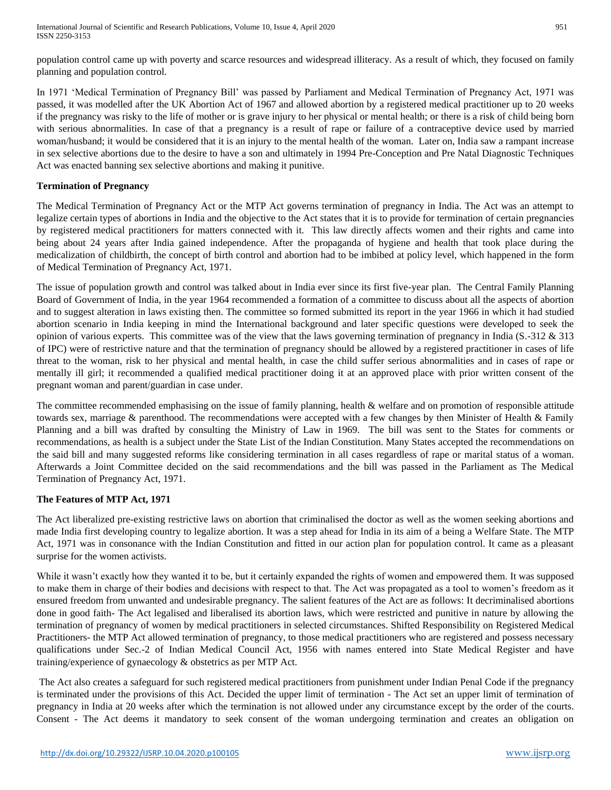population control came up with poverty and scarce resources and widespread illiteracy. As a result of which, they focused on family planning and population control.

In 1971 'Medical Termination of Pregnancy Bill' was passed by Parliament and Medical Termination of Pregnancy Act, 1971 was passed, it was modelled after the UK Abortion Act of 1967 and allowed abortion by a registered medical practitioner up to 20 weeks if the pregnancy was risky to the life of mother or is grave injury to her physical or mental health; or there is a risk of child being born with serious abnormalities. In case of that a pregnancy is a result of rape or failure of a contraceptive device used by married woman/husband; it would be considered that it is an injury to the mental health of the woman. Later on, India saw a rampant increase in sex selective abortions due to the desire to have a son and ultimately in 1994 Pre-Conception and Pre Natal Diagnostic Techniques Act was enacted banning sex selective abortions and making it punitive.

## **Termination of Pregnancy**

The Medical Termination of Pregnancy Act or the MTP Act governs termination of pregnancy in India. The Act was an attempt to legalize certain types of abortions in India and the objective to the Act states that it is to provide for termination of certain pregnancies by registered medical practitioners for matters connected with it. This law directly affects women and their rights and came into being about 24 years after India gained independence. After the propaganda of hygiene and health that took place during the medicalization of childbirth, the concept of birth control and abortion had to be imbibed at policy level, which happened in the form of Medical Termination of Pregnancy Act, 1971.

The issue of population growth and control was talked about in India ever since its first five-year plan. The Central Family Planning Board of Government of India, in the year 1964 recommended a formation of a committee to discuss about all the aspects of abortion and to suggest alteration in laws existing then. The committee so formed submitted its report in the year 1966 in which it had studied abortion scenario in India keeping in mind the International background and later specific questions were developed to seek the opinion of various experts. This committee was of the view that the laws governing termination of pregnancy in India (S.-312  $\&$  313 of IPC) were of restrictive nature and that the termination of pregnancy should be allowed by a registered practitioner in cases of life threat to the woman, risk to her physical and mental health, in case the child suffer serious abnormalities and in cases of rape or mentally ill girl; it recommended a qualified medical practitioner doing it at an approved place with prior written consent of the pregnant woman and parent/guardian in case under.

The committee recommended emphasising on the issue of family planning, health & welfare and on promotion of responsible attitude towards sex, marriage & parenthood. The recommendations were accepted with a few changes by then Minister of Health & Family Planning and a bill was drafted by consulting the Ministry of Law in 1969. The bill was sent to the States for comments or recommendations, as health is a subject under the State List of the Indian Constitution. Many States accepted the recommendations on the said bill and many suggested reforms like considering termination in all cases regardless of rape or marital status of a woman. Afterwards a Joint Committee decided on the said recommendations and the bill was passed in the Parliament as The Medical Termination of Pregnancy Act, 1971.

## **The Features of MTP Act, 1971**

The Act liberalized pre-existing restrictive laws on abortion that criminalised the doctor as well as the women seeking abortions and made India first developing country to legalize abortion. It was a step ahead for India in its aim of a being a Welfare State. The MTP Act, 1971 was in consonance with the Indian Constitution and fitted in our action plan for population control. It came as a pleasant surprise for the women activists.

While it wasn't exactly how they wanted it to be, but it certainly expanded the rights of women and empowered them. It was supposed to make them in charge of their bodies and decisions with respect to that. The Act was propagated as a tool to women's freedom as it ensured freedom from unwanted and undesirable pregnancy. The salient features of the Act are as follows: It decriminalised abortions done in good faith- The Act legalised and liberalised its abortion laws, which were restricted and punitive in nature by allowing the termination of pregnancy of women by medical practitioners in selected circumstances. Shifted Responsibility on Registered Medical Practitioners- the MTP Act allowed termination of pregnancy, to those medical practitioners who are registered and possess necessary qualifications under Sec.-2 of Indian Medical Council Act, 1956 with names entered into State Medical Register and have training/experience of gynaecology & obstetrics as per MTP Act.

The Act also creates a safeguard for such registered medical practitioners from punishment under Indian Penal Code if the pregnancy is terminated under the provisions of this Act. Decided the upper limit of termination - The Act set an upper limit of termination of pregnancy in India at 20 weeks after which the termination is not allowed under any circumstance except by the order of the courts. Consent - The Act deems it mandatory to seek consent of the woman undergoing termination and creates an obligation on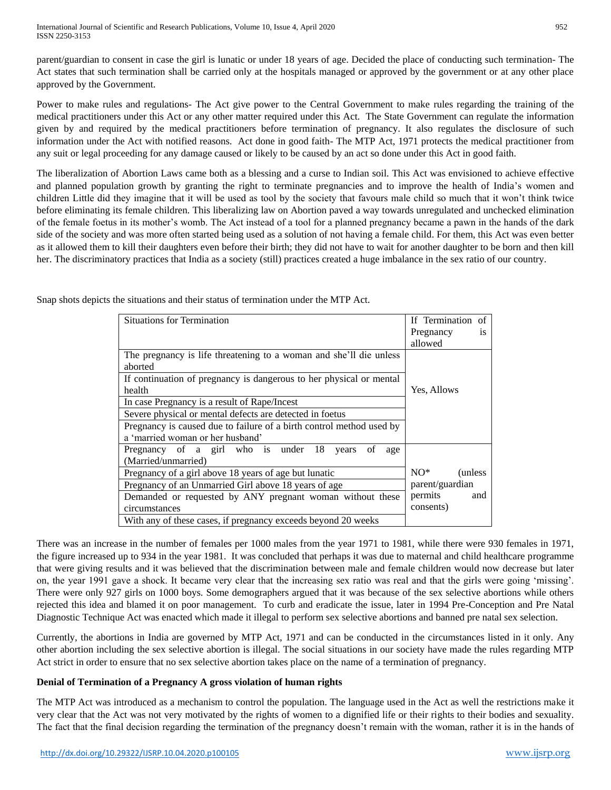parent/guardian to consent in case the girl is lunatic or under 18 years of age. Decided the place of conducting such termination- The Act states that such termination shall be carried only at the hospitals managed or approved by the government or at any other place approved by the Government.

Power to make rules and regulations- The Act give power to the Central Government to make rules regarding the training of the medical practitioners under this Act or any other matter required under this Act. The State Government can regulate the information given by and required by the medical practitioners before termination of pregnancy. It also regulates the disclosure of such information under the Act with notified reasons. Act done in good faith- The MTP Act, 1971 protects the medical practitioner from any suit or legal proceeding for any damage caused or likely to be caused by an act so done under this Act in good faith.

The liberalization of Abortion Laws came both as a blessing and a curse to Indian soil. This Act was envisioned to achieve effective and planned population growth by granting the right to terminate pregnancies and to improve the health of India's women and children Little did they imagine that it will be used as tool by the society that favours male child so much that it won't think twice before eliminating its female children. This liberalizing law on Abortion paved a way towards unregulated and unchecked elimination of the female foetus in its mother's womb. The Act instead of a tool for a planned pregnancy became a pawn in the hands of the dark side of the society and was more often started being used as a solution of not having a female child. For them, this Act was even better as it allowed them to kill their daughters even before their birth; they did not have to wait for another daughter to be born and then kill her. The discriminatory practices that India as a society (still) practices created a huge imbalance in the sex ratio of our country.

| <b>Situations for Termination</b>                                             | If Termination of  |  |  |
|-------------------------------------------------------------------------------|--------------------|--|--|
|                                                                               | Pregnancy<br>1S    |  |  |
|                                                                               | allowed            |  |  |
| The pregnancy is life threatening to a woman and she'll die unless<br>aborted |                    |  |  |
| If continuation of pregnancy is dangerous to her physical or mental           |                    |  |  |
| health                                                                        | Yes, Allows        |  |  |
| In case Pregnancy is a result of Rape/Incest                                  |                    |  |  |
| Severe physical or mental defects are detected in foetus                      |                    |  |  |
| Pregnancy is caused due to failure of a birth control method used by          |                    |  |  |
| a 'married woman or her husband'                                              |                    |  |  |
| Pregnancy of a girl who is under 18<br>of<br>years<br>age                     |                    |  |  |
| (Married/unmarried)                                                           |                    |  |  |
| Pregnancy of a girl above 18 years of age but lunatic                         | $NO^*$<br>(unless) |  |  |
| Pregnancy of an Unmarried Girl above 18 years of age                          | parent/guardian    |  |  |
| Demanded or requested by ANY pregnant woman without these                     | permits<br>and     |  |  |
| circumstances                                                                 | consents)          |  |  |
| With any of these cases, if pregnancy exceeds beyond 20 weeks                 |                    |  |  |

Snap shots depicts the situations and their status of termination under the MTP Act.

There was an increase in the number of females per 1000 males from the year 1971 to 1981, while there were 930 females in 1971, the figure increased up to 934 in the year 1981. It was concluded that perhaps it was due to maternal and child healthcare programme that were giving results and it was believed that the discrimination between male and female children would now decrease but later on, the year 1991 gave a shock. It became very clear that the increasing sex ratio was real and that the girls were going 'missing'. There were only 927 girls on 1000 boys. Some demographers argued that it was because of the sex selective abortions while others rejected this idea and blamed it on poor management. To curb and eradicate the issue, later in 1994 Pre-Conception and Pre Natal Diagnostic Technique Act was enacted which made it illegal to perform sex selective abortions and banned pre natal sex selection.

Currently, the abortions in India are governed by MTP Act, 1971 and can be conducted in the circumstances listed in it only. Any other abortion including the sex selective abortion is illegal. The social situations in our society have made the rules regarding MTP Act strict in order to ensure that no sex selective abortion takes place on the name of a termination of pregnancy.

## **Denial of Termination of a Pregnancy A gross violation of human rights**

The MTP Act was introduced as a mechanism to control the population. The language used in the Act as well the restrictions make it very clear that the Act was not very motivated by the rights of women to a dignified life or their rights to their bodies and sexuality. The fact that the final decision regarding the termination of the pregnancy doesn't remain with the woman, rather it is in the hands of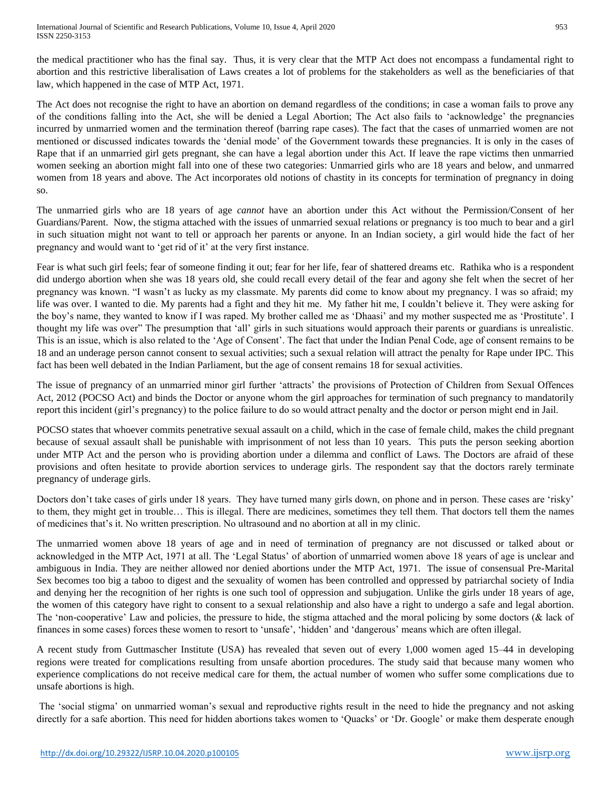the medical practitioner who has the final say. Thus, it is very clear that the MTP Act does not encompass a fundamental right to abortion and this restrictive liberalisation of Laws creates a lot of problems for the stakeholders as well as the beneficiaries of that law, which happened in the case of MTP Act, 1971.

The Act does not recognise the right to have an abortion on demand regardless of the conditions; in case a woman fails to prove any of the conditions falling into the Act, she will be denied a Legal Abortion; The Act also fails to 'acknowledge' the pregnancies incurred by unmarried women and the termination thereof (barring rape cases). The fact that the cases of unmarried women are not mentioned or discussed indicates towards the 'denial mode' of the Government towards these pregnancies. It is only in the cases of Rape that if an unmarried girl gets pregnant, she can have a legal abortion under this Act. If leave the rape victims then unmarried women seeking an abortion might fall into one of these two categories: Unmarried girls who are 18 years and below, and unmarred women from 18 years and above. The Act incorporates old notions of chastity in its concepts for termination of pregnancy in doing so.

The unmarried girls who are 18 years of age *cannot* have an abortion under this Act without the Permission/Consent of her Guardians/Parent. Now, the stigma attached with the issues of unmarried sexual relations or pregnancy is too much to bear and a girl in such situation might not want to tell or approach her parents or anyone. In an Indian society, a girl would hide the fact of her pregnancy and would want to 'get rid of it' at the very first instance.

Fear is what such girl feels; fear of someone finding it out; fear for her life, fear of shattered dreams etc. Rathika who is a respondent did undergo abortion when she was 18 years old, she could recall every detail of the fear and agony she felt when the secret of her pregnancy was known. "I wasn't as lucky as my classmate. My parents did come to know about my pregnancy. I was so afraid; my life was over. I wanted to die. My parents had a fight and they hit me. My father hit me, I couldn't believe it. They were asking for the boy's name, they wanted to know if I was raped. My brother called me as 'Dhaasi' and my mother suspected me as 'Prostitute'. I thought my life was over" The presumption that 'all' girls in such situations would approach their parents or guardians is unrealistic. This is an issue, which is also related to the 'Age of Consent'. The fact that under the Indian Penal Code, age of consent remains to be 18 and an underage person cannot consent to sexual activities; such a sexual relation will attract the penalty for Rape under IPC. This fact has been well debated in the Indian Parliament, but the age of consent remains 18 for sexual activities.

The issue of pregnancy of an unmarried minor girl further 'attracts' the provisions of Protection of Children from Sexual Offences Act, 2012 (POCSO Act) and binds the Doctor or anyone whom the girl approaches for termination of such pregnancy to mandatorily report this incident (girl's pregnancy) to the police failure to do so would attract penalty and the doctor or person might end in Jail.

POCSO states that whoever commits penetrative sexual assault on a child, which in the case of female child, makes the child pregnant because of sexual assault shall be punishable with imprisonment of not less than 10 years. This puts the person seeking abortion under MTP Act and the person who is providing abortion under a dilemma and conflict of Laws. The Doctors are afraid of these provisions and often hesitate to provide abortion services to underage girls. The respondent say that the doctors rarely terminate pregnancy of underage girls.

Doctors don't take cases of girls under 18 years. They have turned many girls down, on phone and in person. These cases are 'risky' to them, they might get in trouble… This is illegal. There are medicines, sometimes they tell them. That doctors tell them the names of medicines that's it. No written prescription. No ultrasound and no abortion at all in my clinic.

The unmarried women above 18 years of age and in need of termination of pregnancy are not discussed or talked about or acknowledged in the MTP Act, 1971 at all. The 'Legal Status' of abortion of unmarried women above 18 years of age is unclear and ambiguous in India. They are neither allowed nor denied abortions under the MTP Act, 1971. The issue of consensual Pre-Marital Sex becomes too big a taboo to digest and the sexuality of women has been controlled and oppressed by patriarchal society of India and denying her the recognition of her rights is one such tool of oppression and subjugation. Unlike the girls under 18 years of age, the women of this category have right to consent to a sexual relationship and also have a right to undergo a safe and legal abortion. The 'non-cooperative' Law and policies, the pressure to hide, the stigma attached and the moral policing by some doctors (& lack of finances in some cases) forces these women to resort to 'unsafe', 'hidden' and 'dangerous' means which are often illegal.

A recent study from Guttmascher Institute (USA) has revealed that seven out of every 1,000 women aged 15–44 in developing regions were treated for complications resulting from unsafe abortion procedures. The study said that because many women who experience complications do not receive medical care for them, the actual number of women who suffer some complications due to unsafe abortions is high.

The 'social stigma' on unmarried woman's sexual and reproductive rights result in the need to hide the pregnancy and not asking directly for a safe abortion. This need for hidden abortions takes women to 'Quacks' or 'Dr. Google' or make them desperate enough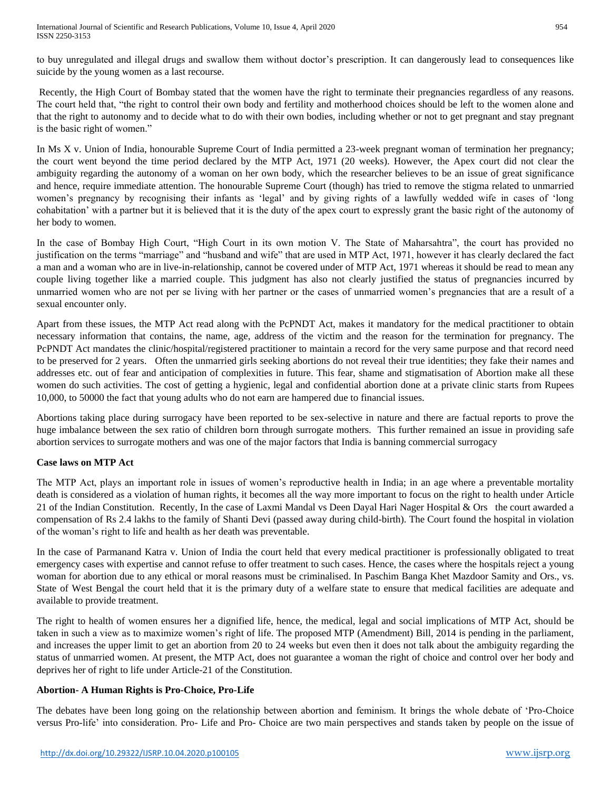to buy unregulated and illegal drugs and swallow them without doctor's prescription. It can dangerously lead to consequences like suicide by the young women as a last recourse.

Recently, the High Court of Bombay stated that the women have the right to terminate their pregnancies regardless of any reasons. The court held that, "the right to control their own body and fertility and motherhood choices should be left to the women alone and that the right to autonomy and to decide what to do with their own bodies, including whether or not to get pregnant and stay pregnant is the basic right of women."

In Ms X v. Union of India, honourable Supreme Court of India permitted a 23-week pregnant woman of termination her pregnancy; the court went beyond the time period declared by the MTP Act, 1971 (20 weeks). However, the Apex court did not clear the ambiguity regarding the autonomy of a woman on her own body, which the researcher believes to be an issue of great significance and hence, require immediate attention. The honourable Supreme Court (though) has tried to remove the stigma related to unmarried women's pregnancy by recognising their infants as 'legal' and by giving rights of a lawfully wedded wife in cases of 'long cohabitation' with a partner but it is believed that it is the duty of the apex court to expressly grant the basic right of the autonomy of her body to women.

In the case of Bombay High Court, "High Court in its own motion V. The State of Maharsahtra", the court has provided no justification on the terms "marriage" and "husband and wife" that are used in MTP Act, 1971, however it has clearly declared the fact a man and a woman who are in live-in-relationship, cannot be covered under of MTP Act, 1971 whereas it should be read to mean any couple living together like a married couple. This judgment has also not clearly justified the status of pregnancies incurred by unmarried women who are not per se living with her partner or the cases of unmarried women's pregnancies that are a result of a sexual encounter only.

Apart from these issues, the MTP Act read along with the PcPNDT Act, makes it mandatory for the medical practitioner to obtain necessary information that contains, the name, age, address of the victim and the reason for the termination for pregnancy. The PcPNDT Act mandates the clinic/hospital/registered practitioner to maintain a record for the very same purpose and that record need to be preserved for 2 years. Often the unmarried girls seeking abortions do not reveal their true identities; they fake their names and addresses etc. out of fear and anticipation of complexities in future. This fear, shame and stigmatisation of Abortion make all these women do such activities. The cost of getting a hygienic, legal and confidential abortion done at a private clinic starts from Rupees 10,000, to 50000 the fact that young adults who do not earn are hampered due to financial issues.

Abortions taking place during surrogacy have been reported to be sex-selective in nature and there are factual reports to prove the huge imbalance between the sex ratio of children born through surrogate mothers. This further remained an issue in providing safe abortion services to surrogate mothers and was one of the major factors that India is banning commercial surrogacy

# **Case laws on MTP Act**

The MTP Act, plays an important role in issues of women's reproductive health in India; in an age where a preventable mortality death is considered as a violation of human rights, it becomes all the way more important to focus on the right to health under Article 21 of the Indian Constitution. Recently, In the case of Laxmi Mandal vs Deen Dayal Hari Nager Hospital & Ors the court awarded a compensation of Rs 2.4 lakhs to the family of Shanti Devi (passed away during child-birth). The Court found the hospital in violation of the woman's right to life and health as her death was preventable.

In the case of Parmanand Katra v. Union of India the court held that every medical practitioner is professionally obligated to treat emergency cases with expertise and cannot refuse to offer treatment to such cases. Hence, the cases where the hospitals reject a young woman for abortion due to any ethical or moral reasons must be criminalised. In Paschim Banga Khet Mazdoor Samity and Ors., vs. State of West Bengal the court held that it is the primary duty of a welfare state to ensure that medical facilities are adequate and available to provide treatment.

The right to health of women ensures her a dignified life, hence, the medical, legal and social implications of MTP Act, should be taken in such a view as to maximize women's right of life. The proposed MTP (Amendment) Bill, 2014 is pending in the parliament, and increases the upper limit to get an abortion from 20 to 24 weeks but even then it does not talk about the ambiguity regarding the status of unmarried women. At present, the MTP Act, does not guarantee a woman the right of choice and control over her body and deprives her of right to life under Article-21 of the Constitution.

## **Abortion- A Human Rights is Pro-Choice, Pro-Life**

The debates have been long going on the relationship between abortion and feminism. It brings the whole debate of 'Pro-Choice versus Pro-life' into consideration. Pro- Life and Pro- Choice are two main perspectives and stands taken by people on the issue of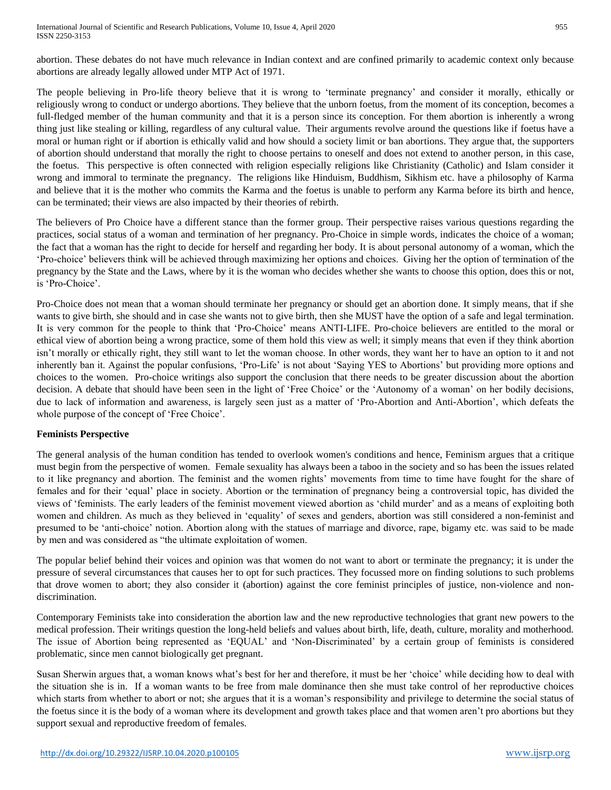abortion. These debates do not have much relevance in Indian context and are confined primarily to academic context only because abortions are already legally allowed under MTP Act of 1971.

The people believing in Pro-life theory believe that it is wrong to 'terminate pregnancy' and consider it morally, ethically or religiously wrong to conduct or undergo abortions. They believe that the unborn foetus, from the moment of its conception, becomes a full-fledged member of the human community and that it is a person since its conception. For them abortion is inherently a wrong thing just like stealing or killing, regardless of any cultural value. Their arguments revolve around the questions like if foetus have a moral or human right or if abortion is ethically valid and how should a society limit or ban abortions. They argue that, the supporters of abortion should understand that morally the right to choose pertains to oneself and does not extend to another person, in this case, the foetus. This perspective is often connected with religion especially religions like Christianity (Catholic) and Islam consider it wrong and immoral to terminate the pregnancy. The religions like Hinduism, Buddhism, Sikhism etc. have a philosophy of Karma and believe that it is the mother who commits the Karma and the foetus is unable to perform any Karma before its birth and hence, can be terminated; their views are also impacted by their theories of rebirth.

The believers of Pro Choice have a different stance than the former group. Their perspective raises various questions regarding the practices, social status of a woman and termination of her pregnancy. Pro-Choice in simple words, indicates the choice of a woman; the fact that a woman has the right to decide for herself and regarding her body. It is about personal autonomy of a woman, which the 'Pro-choice' believers think will be achieved through maximizing her options and choices. Giving her the option of termination of the pregnancy by the State and the Laws, where by it is the woman who decides whether she wants to choose this option, does this or not, is 'Pro-Choice'.

Pro-Choice does not mean that a woman should terminate her pregnancy or should get an abortion done. It simply means, that if she wants to give birth, she should and in case she wants not to give birth, then she MUST have the option of a safe and legal termination. It is very common for the people to think that 'Pro-Choice' means ANTI-LIFE. Pro-choice believers are entitled to the moral or ethical view of abortion being a wrong practice, some of them hold this view as well; it simply means that even if they think abortion isn't morally or ethically right, they still want to let the woman choose. In other words, they want her to have an option to it and not inherently ban it. Against the popular confusions, 'Pro-Life' is not about 'Saying YES to Abortions' but providing more options and choices to the women. Pro-choice writings also support the conclusion that there needs to be greater discussion about the abortion decision. A debate that should have been seen in the light of 'Free Choice' or the 'Autonomy of a woman' on her bodily decisions, due to lack of information and awareness, is largely seen just as a matter of 'Pro-Abortion and Anti-Abortion', which defeats the whole purpose of the concept of 'Free Choice'.

## **Feminists Perspective**

The general analysis of the human condition has tended to overlook women's conditions and hence, Feminism argues that a critique must begin from the perspective of women. Female sexuality has always been a taboo in the society and so has been the issues related to it like pregnancy and abortion. The feminist and the women rights' movements from time to time have fought for the share of females and for their 'equal' place in society. Abortion or the termination of pregnancy being a controversial topic, has divided the views of 'feminists. The early leaders of the feminist movement viewed abortion as 'child murder' and as a means of exploiting both women and children. As much as they believed in 'equality' of sexes and genders, abortion was still considered a non-feminist and presumed to be 'anti-choice' notion. Abortion along with the statues of marriage and divorce, rape, bigamy etc. was said to be made by men and was considered as "the ultimate exploitation of women.

The popular belief behind their voices and opinion was that women do not want to abort or terminate the pregnancy; it is under the pressure of several circumstances that causes her to opt for such practices. They focussed more on finding solutions to such problems that drove women to abort; they also consider it (abortion) against the core feminist principles of justice, non-violence and nondiscrimination.

Contemporary Feminists take into consideration the abortion law and the new reproductive technologies that grant new powers to the medical profession. Their writings question the long-held beliefs and values about birth, life, death, culture, morality and motherhood. The issue of Abortion being represented as 'EQUAL' and 'Non-Discriminated' by a certain group of feminists is considered problematic, since men cannot biologically get pregnant.

Susan Sherwin argues that, a woman knows what's best for her and therefore, it must be her 'choice' while deciding how to deal with the situation she is in. If a woman wants to be free from male dominance then she must take control of her reproductive choices which starts from whether to abort or not; she argues that it is a woman's responsibility and privilege to determine the social status of the foetus since it is the body of a woman where its development and growth takes place and that women aren't pro abortions but they support sexual and reproductive freedom of females.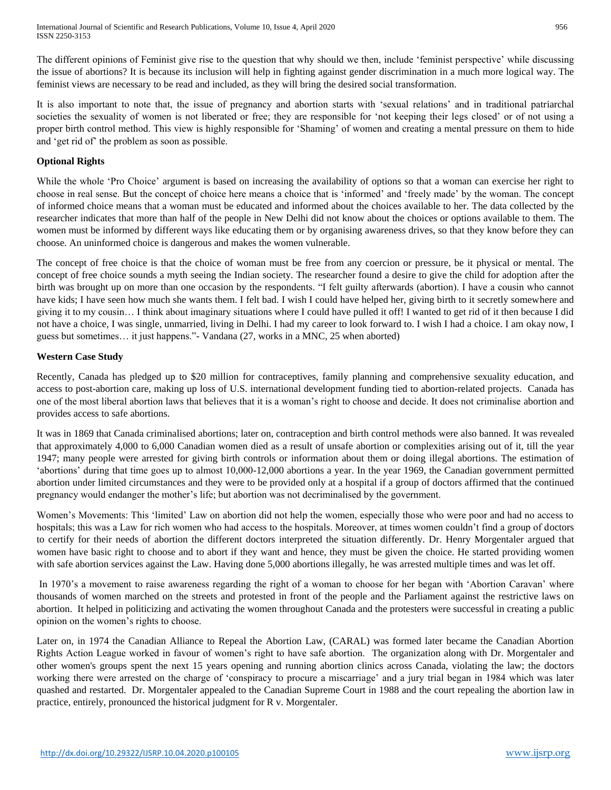The different opinions of Feminist give rise to the question that why should we then, include 'feminist perspective' while discussing the issue of abortions? It is because its inclusion will help in fighting against gender discrimination in a much more logical way. The feminist views are necessary to be read and included, as they will bring the desired social transformation.

It is also important to note that, the issue of pregnancy and abortion starts with 'sexual relations' and in traditional patriarchal societies the sexuality of women is not liberated or free; they are responsible for 'not keeping their legs closed' or of not using a proper birth control method. This view is highly responsible for 'Shaming' of women and creating a mental pressure on them to hide and 'get rid of' the problem as soon as possible.

## **Optional Rights**

While the whole 'Pro Choice' argument is based on increasing the availability of options so that a woman can exercise her right to choose in real sense. But the concept of choice here means a choice that is 'informed' and 'freely made' by the woman. The concept of informed choice means that a woman must be educated and informed about the choices available to her. The data collected by the researcher indicates that more than half of the people in New Delhi did not know about the choices or options available to them. The women must be informed by different ways like educating them or by organising awareness drives, so that they know before they can choose. An uninformed choice is dangerous and makes the women vulnerable.

The concept of free choice is that the choice of woman must be free from any coercion or pressure, be it physical or mental. The concept of free choice sounds a myth seeing the Indian society. The researcher found a desire to give the child for adoption after the birth was brought up on more than one occasion by the respondents. "I felt guilty afterwards (abortion). I have a cousin who cannot have kids; I have seen how much she wants them. I felt bad. I wish I could have helped her, giving birth to it secretly somewhere and giving it to my cousin… I think about imaginary situations where I could have pulled it off! I wanted to get rid of it then because I did not have a choice, I was single, unmarried, living in Delhi. I had my career to look forward to. I wish I had a choice. I am okay now, I guess but sometimes… it just happens."- Vandana (27, works in a MNC, 25 when aborted)

## **Western Case Study**

Recently, Canada has pledged up to \$20 million for contraceptives, family planning and comprehensive sexuality education, and access to post-abortion care, making up loss of U.S. international development funding tied to abortion-related projects. Canada has one of the most liberal abortion laws that believes that it is a woman's right to choose and decide. It does not criminalise abortion and provides access to safe abortions.

It was in 1869 that Canada criminalised abortions; later on, contraception and birth control methods were also banned. It was revealed that approximately 4,000 to 6,000 Canadian women died as a result of unsafe abortion or complexities arising out of it, till the year 1947; many people were arrested for giving birth controls or information about them or doing illegal abortions. The estimation of 'abortions' during that time goes up to almost 10,000-12,000 abortions a year. In the year 1969, the Canadian government permitted abortion under limited circumstances and they were to be provided only at a hospital if a group of doctors affirmed that the continued pregnancy would endanger the mother's life; but abortion was not decriminalised by the government.

Women's Movements: This 'limited' Law on abortion did not help the women, especially those who were poor and had no access to hospitals; this was a Law for rich women who had access to the hospitals. Moreover, at times women couldn't find a group of doctors to certify for their needs of abortion the different doctors interpreted the situation differently. Dr. Henry Morgentaler argued that women have basic right to choose and to abort if they want and hence, they must be given the choice. He started providing women with safe abortion services against the Law. Having done 5,000 abortions illegally, he was arrested multiple times and was let off.

In 1970's a movement to raise awareness regarding the right of a woman to choose for her began with 'Abortion Caravan' where thousands of women marched on the streets and protested in front of the people and the Parliament against the restrictive laws on abortion. It helped in politicizing and activating the women throughout Canada and the protesters were successful in creating a public opinion on the women's rights to choose.

Later on, in 1974 the Canadian Alliance to Repeal the Abortion Law, (CARAL) was formed later became the Canadian Abortion Rights Action League worked in favour of women's right to have safe abortion. The organization along with Dr. Morgentaler and other women's groups spent the next 15 years opening and running abortion clinics across Canada, violating the law; the doctors working there were arrested on the charge of 'conspiracy to procure a miscarriage' and a jury trial began in 1984 which was later quashed and restarted. Dr. Morgentaler appealed to the Canadian Supreme Court in 1988 and the court repealing the abortion law in practice, entirely, pronounced the historical judgment for R v. Morgentaler.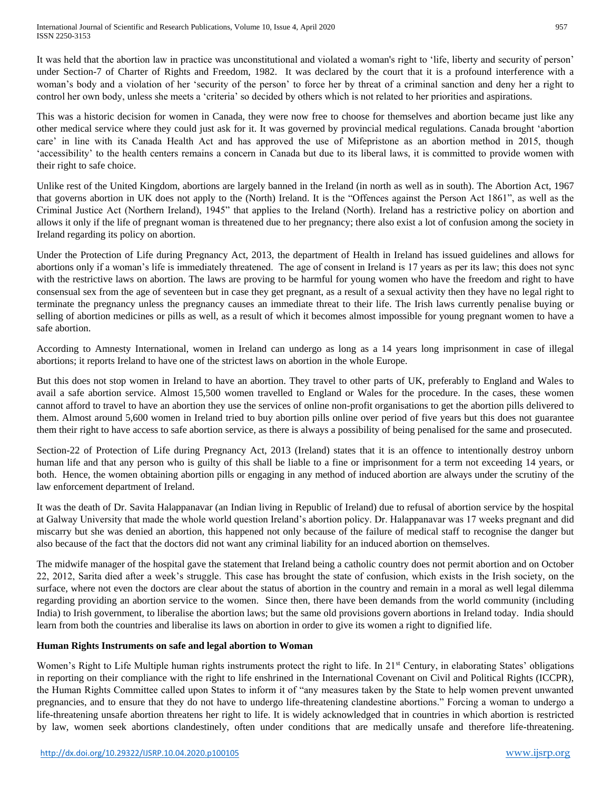It was held that the abortion law in practice was unconstitutional and violated a woman's right to 'life, liberty and security of person' under Section-7 of Charter of Rights and Freedom, 1982. It was declared by the court that it is a profound interference with a woman's body and a violation of her 'security of the person' to force her by threat of a criminal sanction and deny her a right to control her own body, unless she meets a 'criteria' so decided by others which is not related to her priorities and aspirations.

This was a historic decision for women in Canada, they were now free to choose for themselves and abortion became just like any other medical service where they could just ask for it. It was governed by provincial medical regulations. Canada brought 'abortion care' in line with its Canada Health Act and has approved the use of Mifepristone as an abortion method in 2015, though 'accessibility' to the health centers remains a concern in Canada but due to its liberal laws, it is committed to provide women with their right to safe choice.

Unlike rest of the United Kingdom, abortions are largely banned in the Ireland (in north as well as in south). The Abortion Act, 1967 that governs abortion in UK does not apply to the (North) Ireland. It is the "Offences against the Person Act 1861", as well as the Criminal Justice Act (Northern Ireland), 1945" that applies to the Ireland (North). Ireland has a restrictive policy on abortion and allows it only if the life of pregnant woman is threatened due to her pregnancy; there also exist a lot of confusion among the society in Ireland regarding its policy on abortion.

Under the Protection of Life during Pregnancy Act, 2013, the department of Health in Ireland has issued guidelines and allows for abortions only if a woman's life is immediately threatened. The age of consent in Ireland is 17 years as per its law; this does not sync with the restrictive laws on abortion. The laws are proving to be harmful for young women who have the freedom and right to have consensual sex from the age of seventeen but in case they get pregnant, as a result of a sexual activity then they have no legal right to terminate the pregnancy unless the pregnancy causes an immediate threat to their life. The Irish laws currently penalise buying or selling of abortion medicines or pills as well, as a result of which it becomes almost impossible for young pregnant women to have a safe abortion.

According to Amnesty International, women in Ireland can undergo as long as a 14 years long imprisonment in case of illegal abortions; it reports Ireland to have one of the strictest laws on abortion in the whole Europe.

But this does not stop women in Ireland to have an abortion. They travel to other parts of UK, preferably to England and Wales to avail a safe abortion service. Almost 15,500 women travelled to England or Wales for the procedure. In the cases, these women cannot afford to travel to have an abortion they use the services of online non-profit organisations to get the abortion pills delivered to them. Almost around 5,600 women in Ireland tried to buy abortion pills online over period of five years but this does not guarantee them their right to have access to safe abortion service, as there is always a possibility of being penalised for the same and prosecuted.

Section-22 of Protection of Life during Pregnancy Act, 2013 (Ireland) states that it is an offence to intentionally destroy unborn human life and that any person who is guilty of this shall be liable to a fine or imprisonment for a term not exceeding 14 years, or both. Hence, the women obtaining abortion pills or engaging in any method of induced abortion are always under the scrutiny of the law enforcement department of Ireland.

It was the death of Dr. Savita Halappanavar (an Indian living in Republic of Ireland) due to refusal of abortion service by the hospital at Galway University that made the whole world question Ireland's abortion policy. Dr. Halappanavar was 17 weeks pregnant and did miscarry but she was denied an abortion, this happened not only because of the failure of medical staff to recognise the danger but also because of the fact that the doctors did not want any criminal liability for an induced abortion on themselves.

The midwife manager of the hospital gave the statement that Ireland being a catholic country does not permit abortion and on October 22, 2012, Sarita died after a week's struggle. This case has brought the state of confusion, which exists in the Irish society, on the surface, where not even the doctors are clear about the status of abortion in the country and remain in a moral as well legal dilemma regarding providing an abortion service to the women. Since then, there have been demands from the world community (including India) to Irish government, to liberalise the abortion laws; but the same old provisions govern abortions in Ireland today. India should learn from both the countries and liberalise its laws on abortion in order to give its women a right to dignified life.

# **Human Rights Instruments on safe and legal abortion to Woman**

Women's Right to Life Multiple human rights instruments protect the right to life. In 21<sup>st</sup> Century, in elaborating States' obligations in reporting on their compliance with the right to life enshrined in the International Covenant on Civil and Political Rights (ICCPR), the Human Rights Committee called upon States to inform it of "any measures taken by the State to help women prevent unwanted pregnancies, and to ensure that they do not have to undergo life-threatening clandestine abortions." Forcing a woman to undergo a life-threatening unsafe abortion threatens her right to life. It is widely acknowledged that in countries in which abortion is restricted by law, women seek abortions clandestinely, often under conditions that are medically unsafe and therefore life-threatening.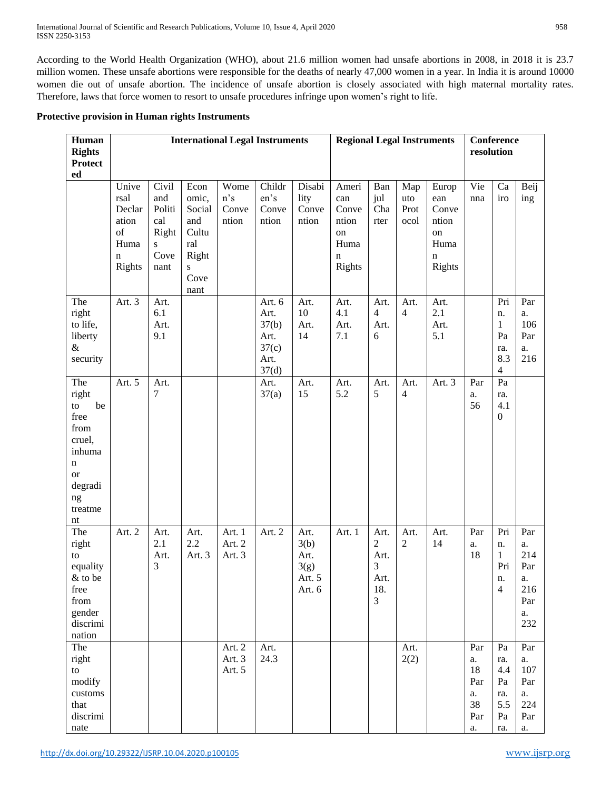According to the World Health Organization (WHO), about 21.6 million women had unsafe abortions in 2008, in 2018 it is 23.7 million women. These unsafe abortions were responsible for the deaths of nearly 47,000 women in a year. In India it is around 10000 women die out of unsafe abortion. The incidence of unsafe abortion is closely associated with high maternal mortality rates. Therefore, laws that force women to resort to unsafe procedures infringe upon women's right to life.

#### **Protective provision in Human rights Instruments**

| Human<br><b>Rights</b><br><b>Protect</b>                                                                                               |                                                               |                                                             |                                                                              | <b>International Legal Instruments</b> |                                                           |                                                  | <b>Regional Legal Instruments</b>                                     |                                            |                            |                                                                       | Conference<br>resolution                                                |                                                                 |                                                                           |
|----------------------------------------------------------------------------------------------------------------------------------------|---------------------------------------------------------------|-------------------------------------------------------------|------------------------------------------------------------------------------|----------------------------------------|-----------------------------------------------------------|--------------------------------------------------|-----------------------------------------------------------------------|--------------------------------------------|----------------------------|-----------------------------------------------------------------------|-------------------------------------------------------------------------|-----------------------------------------------------------------|---------------------------------------------------------------------------|
| ed                                                                                                                                     | Unive<br>rsal<br>Declar<br>ation<br>of<br>Huma<br>n<br>Rights | Civil<br>and<br>Politi<br>cal<br>Right<br>S<br>Cove<br>nant | Econ<br>omic,<br>Social<br>and<br>Cultu<br>ral<br>Right<br>S<br>Cove<br>nant | Wome<br>n's<br>Conve<br>ntion          | Childr<br>en's<br>Conve<br>ntion                          | Disabi<br>lity<br>Conve<br>ntion                 | Ameri<br>can<br>Conve<br>ntion<br>on<br>Huma<br>$\mathbf n$<br>Rights | Ban<br>jul<br>Cha<br>rter                  | Map<br>uto<br>Prot<br>ocol | Europ<br>ean<br>Conve<br>ntion<br>on<br>Huma<br>$\mathbf n$<br>Rights | Vie<br>nna                                                              | Ca<br>iro                                                       | Beij<br>ing                                                               |
| The<br>right<br>to life,<br>liberty<br>$\&$<br>security                                                                                | Art. 3                                                        | Art.<br>6.1<br>Art.<br>9.1                                  |                                                                              |                                        | Art. 6<br>Art.<br>37(b)<br>Art.<br>37(c)<br>Art.<br>37(d) | Art.<br>10<br>Art.<br>14                         | Art.<br>4.1<br>Art.<br>7.1                                            | Art.<br>$\overline{4}$<br>Art.<br>6        | Art.<br>$\overline{4}$     | Art.<br>2.1<br>Art.<br>5.1                                            |                                                                         | Pri<br>n.<br>$\mathbf{1}$<br>Pa<br>ra.<br>8.3<br>$\overline{4}$ | Par<br>a.<br>106<br>Par<br>a.<br>216                                      |
| The<br>right<br>be<br>to<br>free<br>from<br>cruel,<br>inhuma<br>n<br><b>or</b><br>degradi<br>ng<br>treatme<br>$\mathop{\hbox{\rm nt}}$ | Art. 5                                                        | Art.<br>7                                                   |                                                                              |                                        | Art.<br>37(a)                                             | Art.<br>15                                       | Art.<br>5.2                                                           | Art.<br>5                                  | Art.<br>$\overline{4}$     | Art. 3                                                                | Par<br>a.<br>56                                                         | $\rm Pa$<br>ra.<br>4.1<br>$\mathbf{0}$                          |                                                                           |
| The<br>right<br>to<br>equality<br>& to be<br>free<br>from<br>gender<br>discrimi<br>nation                                              | Art. 2                                                        | Art.<br>2.1<br>Art.<br>3                                    | Art.<br>2.2<br>Art. 3                                                        | Art. 1<br>Art. 2<br>Art. 3             | Art. 2                                                    | Art.<br>3(b)<br>Art.<br>3(g)<br>Art. 5<br>Art. 6 | Art. 1                                                                | Art.<br>2<br>Art.<br>3<br>Art.<br>18.<br>3 | Art.<br>$\overline{2}$     | Art.<br>14                                                            | Par<br>a.<br>18                                                         | Pri<br>n.<br>$\mathbf{1}$<br>Pri<br>n.<br>$\overline{4}$        | Par<br>a.<br>214<br>Par<br>a.<br>216<br>Par<br>$\mathbf{a}.$<br>232       |
| The<br>right<br>to<br>modify<br>customs<br>that<br>discrimi<br>nate                                                                    |                                                               |                                                             |                                                                              | Art. 2<br>Art. 3<br>Art. 5             | Art.<br>24.3                                              |                                                  |                                                                       |                                            | Art.<br>2(2)               |                                                                       | Par<br>${\bf a}.$<br>18<br>Par<br>${\bf a}.$<br>38<br>Par<br>${\bf a}.$ | Pa<br>ra.<br>4.4<br>Pa<br>ra.<br>5.5<br>Pa<br>ra.               | Par<br>${\bf a}.$<br>107<br>Par<br>${\bf a}.$<br>224<br>Par<br>${\bf a}.$ |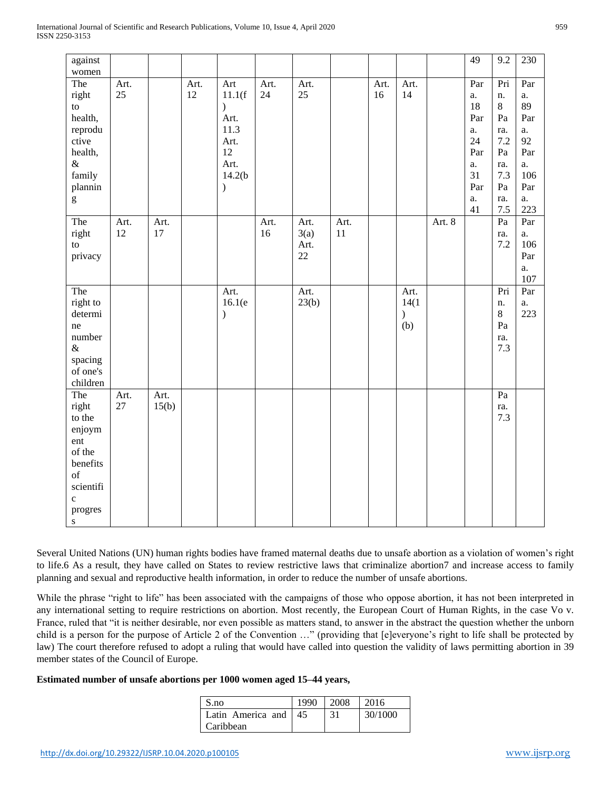| against<br>women                                                                                                                                                                                                                                                                                                                                                                                                                                                                                                                      |                |               |            |                                                                                                  |            |                            |                |            |                                       |        | 49                                                                       | $\overline{9.2}$                                                           | 230                                                                        |
|---------------------------------------------------------------------------------------------------------------------------------------------------------------------------------------------------------------------------------------------------------------------------------------------------------------------------------------------------------------------------------------------------------------------------------------------------------------------------------------------------------------------------------------|----------------|---------------|------------|--------------------------------------------------------------------------------------------------|------------|----------------------------|----------------|------------|---------------------------------------|--------|--------------------------------------------------------------------------|----------------------------------------------------------------------------|----------------------------------------------------------------------------|
| The<br>right<br>$\,$ to $\,$<br>health,<br>reprodu<br>ctive<br>health,<br>$\&$<br>family<br>plannin<br>$\mathbf{g}% _{T}=\mathbf{g}_{T}=\mathbf{g}_{T}=\mathbf{g}_{T}=\mathbf{g}_{T}=\mathbf{g}_{T}=\mathbf{g}_{T}=\mathbf{g}_{T}=\mathbf{g}_{T}=\mathbf{g}_{T}=\mathbf{g}_{T}=\mathbf{g}_{T}=\mathbf{g}_{T}=\mathbf{g}_{T}=\mathbf{g}_{T}=\mathbf{g}_{T}=\mathbf{g}_{T}=\mathbf{g}_{T}=\mathbf{g}_{T}=\mathbf{g}_{T}=\mathbf{g}_{T}=\mathbf{g}_{T}=\mathbf{g}_{T}=\mathbf{g}_{T}=\mathbf{g}_{T}=\mathbf{g}_{T}=\mathbf{g}_{T}=\math$ | Art.<br>25     |               | Art.<br>12 | Art<br>11.1(f<br>$\mathcal{L}$<br>Art.<br>11.3<br>Art.<br>12<br>Art.<br>14.2(b)<br>$\mathcal{E}$ | Art.<br>24 | Art.<br>25                 |                | Art.<br>16 | Art.<br>14                            |        | Par<br>a.<br>18<br>Par<br>a.<br>24<br>Par<br>a.<br>31<br>Par<br>a.<br>41 | Pri<br>n.<br>8<br>Pa<br>ra.<br>7.2<br>Pa<br>ra.<br>7.3<br>Pa<br>ra.<br>7.5 | Par<br>a.<br>89<br>Par<br>a.<br>92<br>Par<br>a.<br>106<br>Par<br>a.<br>223 |
| The<br>right<br>to<br>privacy                                                                                                                                                                                                                                                                                                                                                                                                                                                                                                         | Art.<br>12     | Art.<br>17    |            |                                                                                                  | Art.<br>16 | Art.<br>3(a)<br>Art.<br>22 | Art.<br>$11\,$ |            |                                       | Art. 8 |                                                                          | $\rm Pa$<br>ra.<br>7.2                                                     | Par<br>a.<br>106<br>Par<br>a.<br>107                                       |
| The<br>right to<br>determi<br>ne<br>number<br>$\&$<br>spacing<br>of one's<br>children                                                                                                                                                                                                                                                                                                                                                                                                                                                 |                |               |            | Art.<br>16.1(e<br>)                                                                              |            | Art.<br>23(b)              |                |            | Art.<br>14(1)<br>$\mathcal{E}$<br>(b) |        |                                                                          | Pri<br>n.<br>8<br>Pa<br>ra.<br>7.3                                         | Par<br>a.<br>223                                                           |
| The<br>right<br>to the<br>enjoym<br>ent<br>of the<br>benefits<br>of<br>scientifi<br>$\mathbf{C}$<br>progres<br>${\bf S}$                                                                                                                                                                                                                                                                                                                                                                                                              | Art.<br>$27\,$ | Art.<br>15(b) |            |                                                                                                  |            |                            |                |            |                                       |        |                                                                          | Pa<br>ra.<br>7.3                                                           |                                                                            |

Several United Nations (UN) human rights bodies have framed maternal deaths due to unsafe abortion as a violation of women's right to life.6 As a result, they have called on States to review restrictive laws that criminalize abortion7 and increase access to family planning and sexual and reproductive health information, in order to reduce the number of unsafe abortions.

While the phrase "right to life" has been associated with the campaigns of those who oppose abortion, it has not been interpreted in any international setting to require restrictions on abortion. Most recently, the European Court of Human Rights, in the case Vo v. France, ruled that "it is neither desirable, nor even possible as matters stand, to answer in the abstract the question whether the unborn child is a person for the purpose of Article 2 of the Convention …" (providing that [e]everyone's right to life shall be protected by law) The court therefore refused to adopt a ruling that would have called into question the validity of laws permitting abortion in 39 member states of the Council of Europe.

#### **Estimated number of unsafe abortions per 1000 women aged 15–44 years,**

| S.no                         | 1990 | 2008 | 2016    |
|------------------------------|------|------|---------|
| Latin America and $\vert$ 45 |      | 31   | 30/1000 |
| Caribbean                    |      |      |         |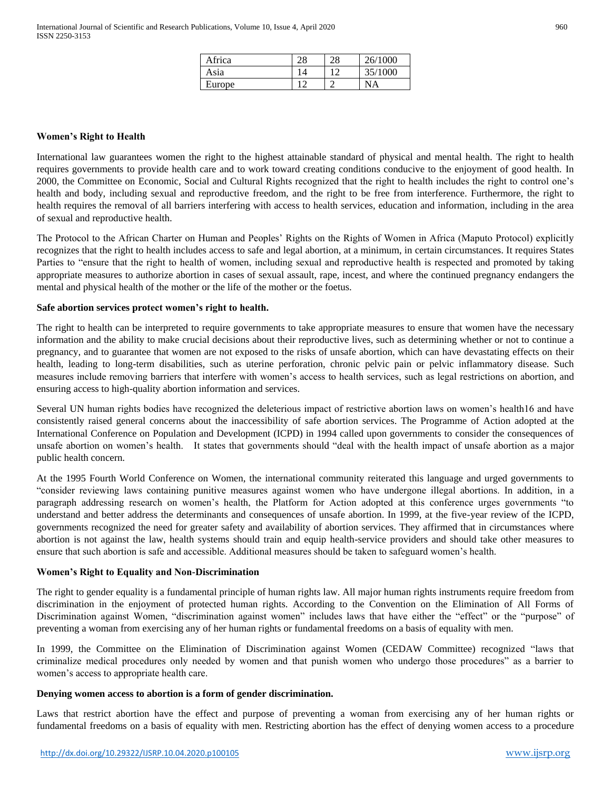| Africa | ിറ | 28             | 26/1000 |
|--------|----|----------------|---------|
| Asia   |    | 1 <sub>1</sub> | 35/1000 |
| Europe |    |                | NA      |

#### **Women's Right to Health**

International law guarantees women the right to the highest attainable standard of physical and mental health. The right to health requires governments to provide health care and to work toward creating conditions conducive to the enjoyment of good health. In 2000, the Committee on Economic, Social and Cultural Rights recognized that the right to health includes the right to control one's health and body, including sexual and reproductive freedom, and the right to be free from interference. Furthermore, the right to health requires the removal of all barriers interfering with access to health services, education and information, including in the area of sexual and reproductive health.

The Protocol to the African Charter on Human and Peoples' Rights on the Rights of Women in Africa (Maputo Protocol) explicitly recognizes that the right to health includes access to safe and legal abortion, at a minimum, in certain circumstances. It requires States Parties to "ensure that the right to health of women, including sexual and reproductive health is respected and promoted by taking appropriate measures to authorize abortion in cases of sexual assault, rape, incest, and where the continued pregnancy endangers the mental and physical health of the mother or the life of the mother or the foetus.

#### **Safe abortion services protect women's right to health.**

The right to health can be interpreted to require governments to take appropriate measures to ensure that women have the necessary information and the ability to make crucial decisions about their reproductive lives, such as determining whether or not to continue a pregnancy, and to guarantee that women are not exposed to the risks of unsafe abortion, which can have devastating effects on their health, leading to long-term disabilities, such as uterine perforation, chronic pelvic pain or pelvic inflammatory disease. Such measures include removing barriers that interfere with women's access to health services, such as legal restrictions on abortion, and ensuring access to high-quality abortion information and services.

Several UN human rights bodies have recognized the deleterious impact of restrictive abortion laws on women's health16 and have consistently raised general concerns about the inaccessibility of safe abortion services. The Programme of Action adopted at the International Conference on Population and Development (ICPD) in 1994 called upon governments to consider the consequences of unsafe abortion on women's health. It states that governments should "deal with the health impact of unsafe abortion as a major public health concern.

At the 1995 Fourth World Conference on Women, the international community reiterated this language and urged governments to "consider reviewing laws containing punitive measures against women who have undergone illegal abortions. In addition, in a paragraph addressing research on women's health, the Platform for Action adopted at this conference urges governments "to understand and better address the determinants and consequences of unsafe abortion. In 1999, at the five-year review of the ICPD, governments recognized the need for greater safety and availability of abortion services. They affirmed that in circumstances where abortion is not against the law, health systems should train and equip health-service providers and should take other measures to ensure that such abortion is safe and accessible. Additional measures should be taken to safeguard women's health.

#### **Women's Right to Equality and Non-Discrimination**

The right to gender equality is a fundamental principle of human rights law. All major human rights instruments require freedom from discrimination in the enjoyment of protected human rights. According to the Convention on the Elimination of All Forms of Discrimination against Women, "discrimination against women" includes laws that have either the "effect" or the "purpose" of preventing a woman from exercising any of her human rights or fundamental freedoms on a basis of equality with men.

In 1999, the Committee on the Elimination of Discrimination against Women (CEDAW Committee) recognized "laws that criminalize medical procedures only needed by women and that punish women who undergo those procedures" as a barrier to women's access to appropriate health care.

## **Denying women access to abortion is a form of gender discrimination.**

Laws that restrict abortion have the effect and purpose of preventing a woman from exercising any of her human rights or fundamental freedoms on a basis of equality with men. Restricting abortion has the effect of denying women access to a procedure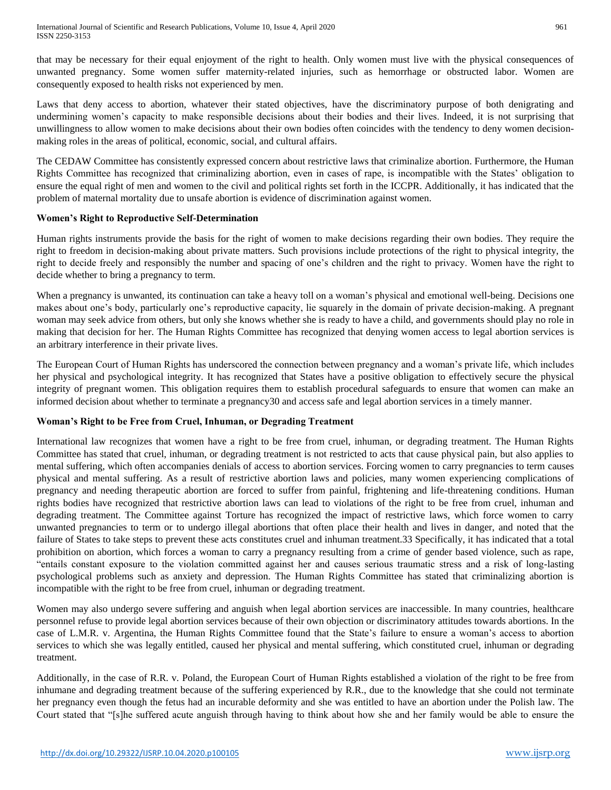that may be necessary for their equal enjoyment of the right to health. Only women must live with the physical consequences of unwanted pregnancy. Some women suffer maternity-related injuries, such as hemorrhage or obstructed labor. Women are consequently exposed to health risks not experienced by men.

Laws that deny access to abortion, whatever their stated objectives, have the discriminatory purpose of both denigrating and undermining women's capacity to make responsible decisions about their bodies and their lives. Indeed, it is not surprising that unwillingness to allow women to make decisions about their own bodies often coincides with the tendency to deny women decisionmaking roles in the areas of political, economic, social, and cultural affairs.

The CEDAW Committee has consistently expressed concern about restrictive laws that criminalize abortion. Furthermore, the Human Rights Committee has recognized that criminalizing abortion, even in cases of rape, is incompatible with the States' obligation to ensure the equal right of men and women to the civil and political rights set forth in the ICCPR. Additionally, it has indicated that the problem of maternal mortality due to unsafe abortion is evidence of discrimination against women.

## **Women's Right to Reproductive Self-Determination**

Human rights instruments provide the basis for the right of women to make decisions regarding their own bodies. They require the right to freedom in decision-making about private matters. Such provisions include protections of the right to physical integrity, the right to decide freely and responsibly the number and spacing of one's children and the right to privacy. Women have the right to decide whether to bring a pregnancy to term.

When a pregnancy is unwanted, its continuation can take a heavy toll on a woman's physical and emotional well-being. Decisions one makes about one's body, particularly one's reproductive capacity, lie squarely in the domain of private decision-making. A pregnant woman may seek advice from others, but only she knows whether she is ready to have a child, and governments should play no role in making that decision for her. The Human Rights Committee has recognized that denying women access to legal abortion services is an arbitrary interference in their private lives.

The European Court of Human Rights has underscored the connection between pregnancy and a woman's private life, which includes her physical and psychological integrity. It has recognized that States have a positive obligation to effectively secure the physical integrity of pregnant women. This obligation requires them to establish procedural safeguards to ensure that women can make an informed decision about whether to terminate a pregnancy30 and access safe and legal abortion services in a timely manner.

## **Woman's Right to be Free from Cruel, Inhuman, or Degrading Treatment**

International law recognizes that women have a right to be free from cruel, inhuman, or degrading treatment. The Human Rights Committee has stated that cruel, inhuman, or degrading treatment is not restricted to acts that cause physical pain, but also applies to mental suffering, which often accompanies denials of access to abortion services. Forcing women to carry pregnancies to term causes physical and mental suffering. As a result of restrictive abortion laws and policies, many women experiencing complications of pregnancy and needing therapeutic abortion are forced to suffer from painful, frightening and life-threatening conditions. Human rights bodies have recognized that restrictive abortion laws can lead to violations of the right to be free from cruel, inhuman and degrading treatment. The Committee against Torture has recognized the impact of restrictive laws, which force women to carry unwanted pregnancies to term or to undergo illegal abortions that often place their health and lives in danger, and noted that the failure of States to take steps to prevent these acts constitutes cruel and inhuman treatment.33 Specifically, it has indicated that a total prohibition on abortion, which forces a woman to carry a pregnancy resulting from a crime of gender based violence, such as rape, "entails constant exposure to the violation committed against her and causes serious traumatic stress and a risk of long-lasting psychological problems such as anxiety and depression. The Human Rights Committee has stated that criminalizing abortion is incompatible with the right to be free from cruel, inhuman or degrading treatment.

Women may also undergo severe suffering and anguish when legal abortion services are inaccessible. In many countries, healthcare personnel refuse to provide legal abortion services because of their own objection or discriminatory attitudes towards abortions. In the case of L.M.R. v. Argentina, the Human Rights Committee found that the State's failure to ensure a woman's access to abortion services to which she was legally entitled, caused her physical and mental suffering, which constituted cruel, inhuman or degrading treatment.

Additionally, in the case of R.R. v. Poland, the European Court of Human Rights established a violation of the right to be free from inhumane and degrading treatment because of the suffering experienced by R.R., due to the knowledge that she could not terminate her pregnancy even though the fetus had an incurable deformity and she was entitled to have an abortion under the Polish law. The Court stated that "[s]he suffered acute anguish through having to think about how she and her family would be able to ensure the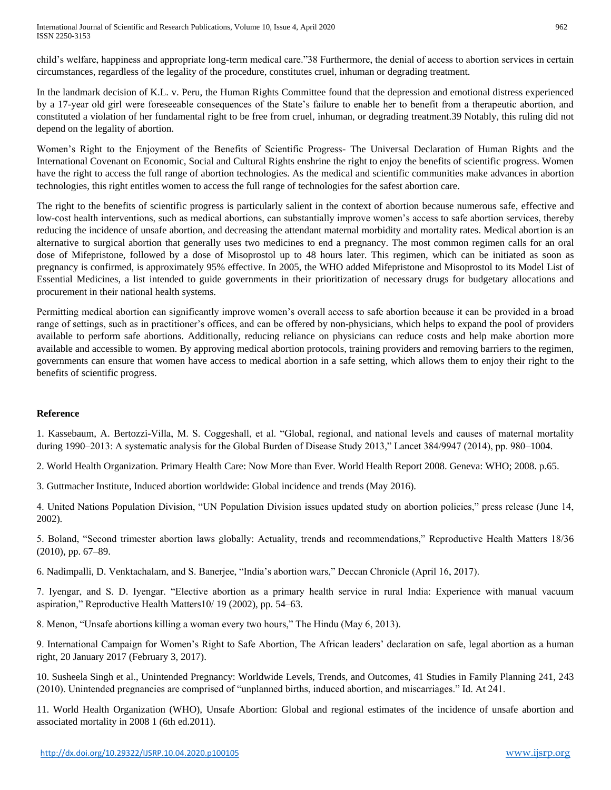child's welfare, happiness and appropriate long-term medical care."38 Furthermore, the denial of access to abortion services in certain circumstances, regardless of the legality of the procedure, constitutes cruel, inhuman or degrading treatment.

In the landmark decision of K.L. v. Peru, the Human Rights Committee found that the depression and emotional distress experienced by a 17-year old girl were foreseeable consequences of the State's failure to enable her to benefit from a therapeutic abortion, and constituted a violation of her fundamental right to be free from cruel, inhuman, or degrading treatment.39 Notably, this ruling did not depend on the legality of abortion.

Women's Right to the Enjoyment of the Benefits of Scientific Progress- The Universal Declaration of Human Rights and the International Covenant on Economic, Social and Cultural Rights enshrine the right to enjoy the benefits of scientific progress. Women have the right to access the full range of abortion technologies. As the medical and scientific communities make advances in abortion technologies, this right entitles women to access the full range of technologies for the safest abortion care.

The right to the benefits of scientific progress is particularly salient in the context of abortion because numerous safe, effective and low-cost health interventions, such as medical abortions, can substantially improve women's access to safe abortion services, thereby reducing the incidence of unsafe abortion, and decreasing the attendant maternal morbidity and mortality rates. Medical abortion is an alternative to surgical abortion that generally uses two medicines to end a pregnancy. The most common regimen calls for an oral dose of Mifepristone, followed by a dose of Misoprostol up to 48 hours later. This regimen, which can be initiated as soon as pregnancy is confirmed, is approximately 95% effective. In 2005, the WHO added Mifepristone and Misoprostol to its Model List of Essential Medicines, a list intended to guide governments in their prioritization of necessary drugs for budgetary allocations and procurement in their national health systems.

Permitting medical abortion can significantly improve women's overall access to safe abortion because it can be provided in a broad range of settings, such as in practitioner's offices, and can be offered by non-physicians, which helps to expand the pool of providers available to perform safe abortions. Additionally, reducing reliance on physicians can reduce costs and help make abortion more available and accessible to women. By approving medical abortion protocols, training providers and removing barriers to the regimen, governments can ensure that women have access to medical abortion in a safe setting, which allows them to enjoy their right to the benefits of scientific progress.

## **Reference**

1. Kassebaum, A. Bertozzi-Villa, M. S. Coggeshall, et al. "Global, regional, and national levels and causes of maternal mortality during 1990–2013: A systematic analysis for the Global Burden of Disease Study 2013," Lancet 384/9947 (2014), pp. 980–1004.

2. World Health Organization. Primary Health Care: Now More than Ever. World Health Report 2008. Geneva: WHO; 2008. p.65.

3. Guttmacher Institute, Induced abortion worldwide: Global incidence and trends (May 2016).

4. United Nations Population Division, "UN Population Division issues updated study on abortion policies," press release (June 14, 2002).

5. Boland, "Second trimester abortion laws globally: Actuality, trends and recommendations," Reproductive Health Matters 18/36 (2010), pp. 67–89.

6. Nadimpalli, D. Venktachalam, and S. Banerjee, "India's abortion wars," Deccan Chronicle (April 16, 2017).

7. Iyengar, and S. D. Iyengar. "Elective abortion as a primary health service in rural India: Experience with manual vacuum aspiration," Reproductive Health Matters10/ 19 (2002), pp. 54–63.

8. Menon, "Unsafe abortions killing a woman every two hours," The Hindu (May 6, 2013).

9. International Campaign for Women's Right to Safe Abortion, The African leaders' declaration on safe, legal abortion as a human right, 20 January 2017 (February 3, 2017).

10. Susheela Singh et al., Unintended Pregnancy: Worldwide Levels, Trends, and Outcomes, 41 Studies in Family Planning 241, 243 (2010). Unintended pregnancies are comprised of "unplanned births, induced abortion, and miscarriages." Id. At 241.

11. World Health Organization (WHO), Unsafe Abortion: Global and regional estimates of the incidence of unsafe abortion and associated mortality in 2008 1 (6th ed.2011).